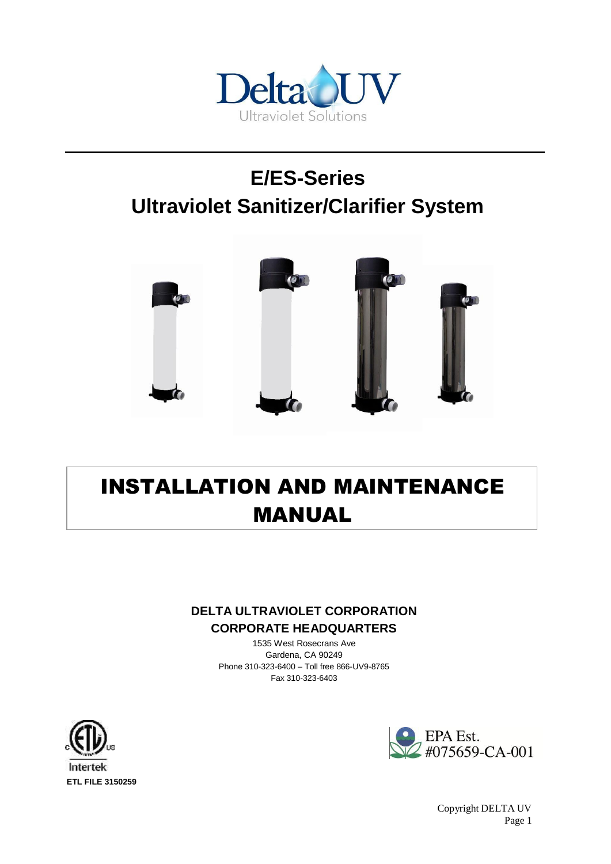

# **E/ES-Series Ultraviolet Sanitizer/Clarifier System**



# INSTALLATION AND MAINTENANCE MANUAL

#### **DELTA ULTRAVIOLET CORPORATION CORPORATE HEADQUARTERS**

1535 West Rosecrans Ave Gardena, CA 90249 Phone 310-323-6400 – Toll free 866-UV9-8765 Fax 310-323-6403



EPA Est.  $2\text{\#075659-CA-001}$ 

**ETL FILE 3150259**

Copyright DELTA UV Page 1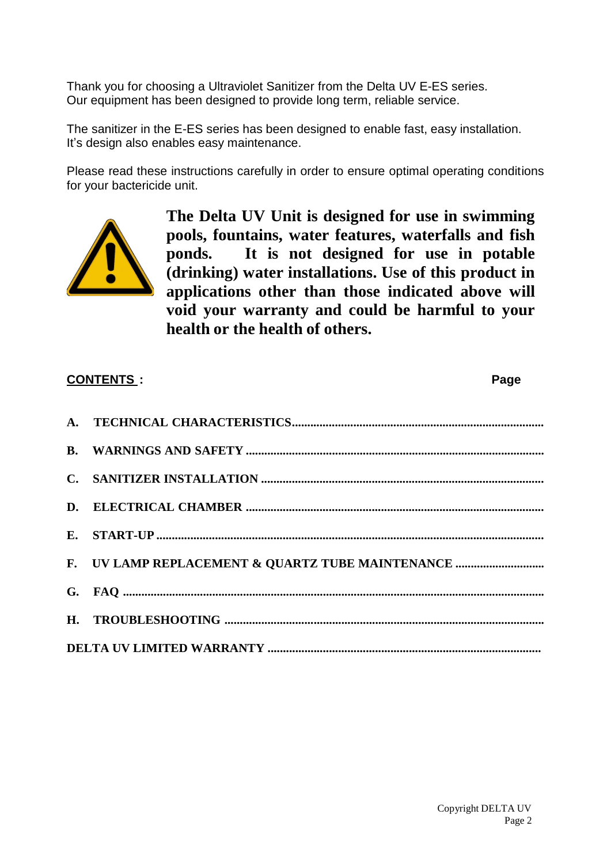Thank you for choosing a Ultraviolet Sanitizer from the Delta UV E-ES series. Our equipment has been designed to provide long term, reliable service.

The sanitizer in the E-ES series has been designed to enable fast, easy installation. It's design also enables easy maintenance.

Please read these instructions carefully in order to ensure optimal operating conditions for your bactericide unit.



**The Delta UV Unit is designed for use in swimming pools, fountains, water features, waterfalls and fish ponds. It is not designed for use in potable (drinking) water installations. Use of this product in applications other than those indicated above will void your warranty and could be harmful to your health or the health of others.**

| <b>CONTENTS:</b> |                                                  | Page |  |
|------------------|--------------------------------------------------|------|--|
|                  |                                                  |      |  |
|                  |                                                  |      |  |
|                  |                                                  |      |  |
|                  |                                                  |      |  |
|                  |                                                  |      |  |
|                  | F. UV LAMP REPLACEMENT & QUARTZ TUBE MAINTENANCE |      |  |
|                  |                                                  |      |  |
|                  |                                                  |      |  |
|                  |                                                  |      |  |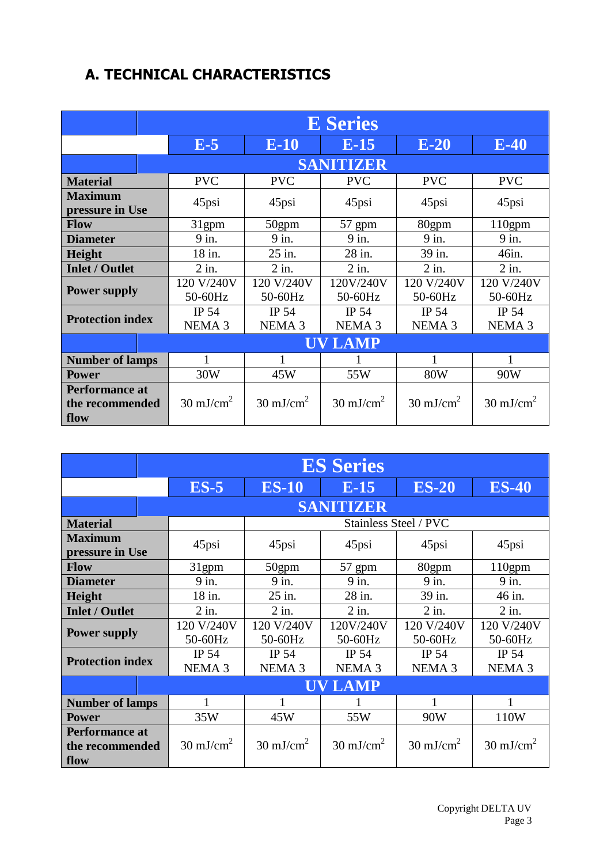# **A. TECHNICAL CHARACTERISTICS**

|                                                  | <b>E</b> Series            |                                   |                            |                            |                            |
|--------------------------------------------------|----------------------------|-----------------------------------|----------------------------|----------------------------|----------------------------|
|                                                  | $E-5$                      | $E-10$                            | $E-15$                     | $E-20$                     | $E-40$                     |
|                                                  | <b>SANITIZER</b>           |                                   |                            |                            |                            |
| <b>Material</b>                                  | <b>PVC</b>                 | <b>PVC</b>                        | <b>PVC</b>                 | <b>PVC</b>                 | <b>PVC</b>                 |
| <b>Maximum</b><br>pressure in Use                | 45psi                      | 45psi                             | 45psi                      | 45psi                      | 45psi                      |
| <b>Flow</b>                                      | 31gpm                      | 50gpm                             | 57 gpm                     | 80gpm                      | $110$ gpm                  |
| <b>Diameter</b>                                  | 9 in.                      | $9$ in.                           | 9 in.                      | 9 in.                      | 9 in.                      |
| <b>Height</b>                                    | 18 in.                     | 25 in.                            | 28 in.                     | 39 in.                     | 46in.                      |
| <b>Inlet / Outlet</b>                            | $2$ in.                    | $2$ in.                           | $2$ in.                    | $2$ in.                    | $2$ in.                    |
| <b>Power supply</b>                              | 120 V/240V<br>50-60Hz      | 120 V/240V<br>50-60Hz             | 120V/240V<br>50-60Hz       | 120 V/240V<br>50-60Hz      | 120 V/240V<br>50-60Hz      |
| <b>Protection index</b>                          | IP 54<br>NEMA <sub>3</sub> | <b>IP 54</b><br>NEMA <sub>3</sub> | IP 54<br>NEMA <sub>3</sub> | IP 54<br>NEMA <sub>3</sub> | IP 54<br>NEMA <sub>3</sub> |
|                                                  | <b>UV LAMP</b>             |                                   |                            |                            |                            |
| <b>Number of lamps</b>                           | 1                          |                                   |                            | 1                          |                            |
| <b>Power</b>                                     | 30W                        | 45W                               | 55W                        | <b>80W</b>                 | 90W                        |
| <b>Performance at</b><br>the recommended<br>flow | $30 \text{ mJ/cm}^2$       | $30 \text{ mJ/cm}^2$              | $30 \text{ mJ/cm}^2$       | $30 \text{ mJ/cm}^2$       | $30 \text{ mJ/cm}^2$       |

|                                                  | <b>ES Series</b>           |                            |                            |                                   |                            |
|--------------------------------------------------|----------------------------|----------------------------|----------------------------|-----------------------------------|----------------------------|
|                                                  | $ES-5$                     | <b>ES-10</b>               | $E-15$                     | <b>ES-20</b>                      | <b>ES-40</b>               |
| <b>SANITIZER</b>                                 |                            |                            |                            |                                   |                            |
| <b>Material</b>                                  |                            |                            |                            | Stainless Steel / PVC             |                            |
| <b>Maximum</b><br>pressure in Use                | 45psi                      | 45psi                      | 45psi                      | 45psi                             | 45psi                      |
| <b>Flow</b>                                      | 31 <sub>gpm</sub>          | 50gpm                      | 57 gpm                     | 80gpm                             | $110$ gpm                  |
| <b>Diameter</b>                                  | 9 in.                      | $9$ in.                    | 9 in.                      | 9 in.                             | 9 in.                      |
| <b>Height</b>                                    | 18 in.                     | 25 in.                     | 28 in.                     | 39 in.                            | 46 in.                     |
| <b>Inlet / Outlet</b>                            | $2$ in.                    | $2$ in.                    | $2$ in.                    | $2$ in.                           | $2$ in.                    |
| <b>Power supply</b>                              | 120 V/240V<br>50-60Hz      | 120 V/240V<br>50-60Hz      | 120V/240V<br>50-60Hz       | 120 V/240V<br>50-60Hz             | 120 V/240V<br>50-60Hz      |
| <b>Protection index</b>                          | IP 54<br>NEMA <sub>3</sub> | IP 54<br>NEMA <sub>3</sub> | IP 54<br>NEMA <sub>3</sub> | <b>IP 54</b><br>NEMA <sub>3</sub> | IP 54<br>NEMA <sub>3</sub> |
| <b>UV LAMP</b>                                   |                            |                            |                            |                                   |                            |
| <b>Number of lamps</b>                           | $\mathbf{1}$               |                            |                            |                                   | 1                          |
| <b>Power</b>                                     | 35W                        | 45W                        | 55W                        | 90W                               | 110W                       |
| <b>Performance at</b><br>the recommended<br>flow | $30 \text{ mJ/cm}^2$       | $30 \text{ mJ/cm}^2$       | $30 \text{ mJ/cm}^2$       | $30 \text{ mJ/cm}^2$              | $30 \text{ mJ/cm}^2$       |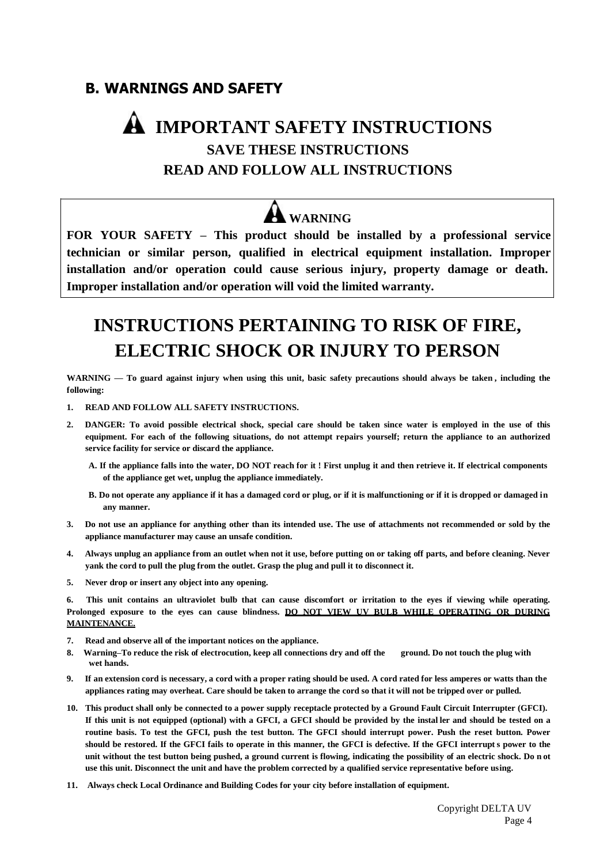### **B. WARNINGS AND SAFETY**

# **IMPORTANT SAFETY INSTRUCTIONS SAVE THESE INSTRUCTIONS READ AND FOLLOW ALL INSTRUCTIONS**

# **WARNING**

**FOR YOUR SAFETY – This product should be installed by a professional service technician or similar person, qualified in electrical equipment installation. Improper installation and/or operation could cause serious injury, property damage or death. Improper installation and/or operation will void the limited warranty.**

# **INSTRUCTIONS PERTAINING TO RISK OF FIRE, ELECTRIC SHOCK OR INJURY TO PERSON**

WARNING - To guard against injury when using this unit, basic safety precautions should always be taken, including the **following:**

- **1. READ AND FOLLOW ALL SAFETY INSTRUCTIONS.**
- 2. DANGER: To avoid possible electrical shock, special care should be taken since water is employed in the use of this **equipment. For each of the following situations, do not attempt repairs yourself; return the appliance to an authorized service facility for service or discard the appliance.**
	- A. If the appliance falls into the water, DO NOT reach for it! First unplug it and then retrieve it. If electrical components **of the appliance get wet, unplug the appliance immediately.**
	- B. Do not operate any appliance if it has a damaged cord or plug, or if it is malfunctioning or if it is dropped or damaged in **any manner.**
- 3. Do not use an appliance for anything other than its intended use. The use of attachments not recommended or sold by the **appliance manufacturer may cause an unsafe condition.**
- 4. Always unplug an appliance from an outlet when not it use, before putting on or taking off parts, and before cleaning. Never **yank the cord to pull the plug from the outlet. Grasp the plug and pull it to disconnect it.**
- **5. Never drop or insert any object into any opening.**

**6. This unit contains an ultraviolet bulb that can cause discomfort or irritation to the eyes if viewing while operating. Prolonged exposure to the eyes can cause blindness. DO NOT VIEW UV BULB WHILE OPERATING OR DURING MAINTENANCE.**

- **7. Read and observe all of the important notices on the appliance.**
- 8. Warning-To reduce the risk of electrocution, keep all connections dry and off the ground. Do not touch the plug with **wet hands.**
- 9. If an extension cord is necessary, a cord with a proper rating should be used. A cord rated for less amperes or watts than the appliances rating may overheat. Care should be taken to arrange the cord so that it will not be tripped over or pulled.
- 10. This product shall only be connected to a power supply receptacle protected by a Ground Fault Circuit Interrupter (GFCI). If this unit is not equipped (optional) with a GFCI, a GFCI should be provided by the installer and should be tested on a routine basis. To test the GFCI, push the test button. The GFCI should interrupt power. Push the reset button. Power should be restored. If the GFCI fails to operate in this manner, the GFCI is defective. If the GFCI interrupts power to the unit without the test button being pushed, a ground current is flowing, indicating the possibility of an electric shock. Do n ot use this unit. Disconnect the unit and have the problem corrected by a qualified service representative before using.
- **11. Always check Local Ordinance and Building Codes for your city before installation of equipment.**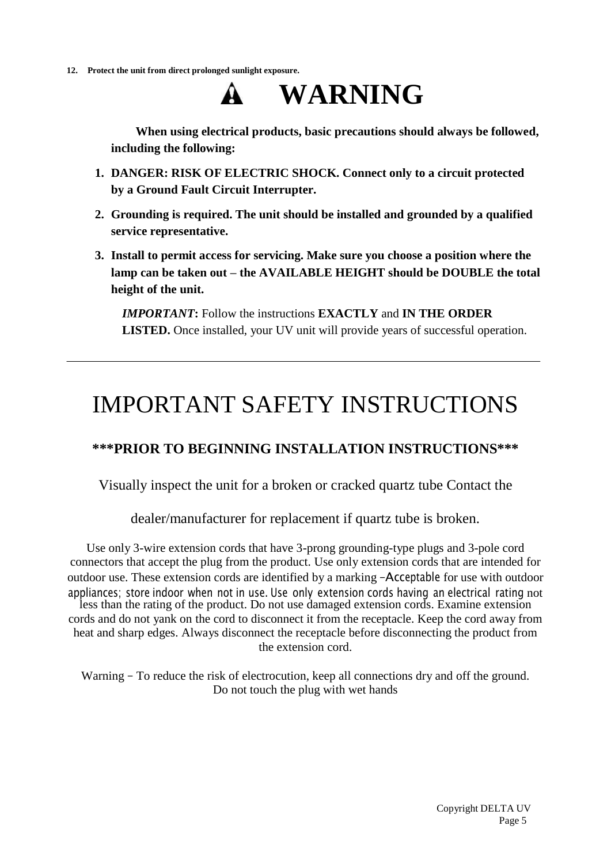**12. Protect the unit from direct prolonged sunlight exposure.**



**When using electrical products, basic precautions should always be followed, including the following:**

- **1. DANGER: RISK OF ELECTRIC SHOCK. Connect only to a circuit protected by a Ground Fault Circuit Interrupter.**
- **2. Grounding is required. The unit should be installed and grounded by a qualified service representative.**
- **3. Install to permit access for servicing. Make sure you choose a position where the lamp can be taken out – the AVAILABLE HEIGHT should be DOUBLE the total height of the unit.**

*IMPORTANT***:** Follow the instructions **EXACTLY** and **IN THE ORDER LISTED.** Once installed, your UV unit will provide years of successful operation.

# IMPORTANT SAFETY INSTRUCTIONS

### **\*\*\*PRIOR TO BEGINNING INSTALLATION INSTRUCTIONS\*\*\***

Visually inspect the unit for a broken or cracked quartz tube Contact the

dealer/manufacturer for replacement if quartz tube is broken.

Use only 3-wire extension cords that have 3-prong grounding-type plugs and 3-pole cord connectors that accept the plug from the product. Use only extension cords that are intended for outdoor use. These extension cords are identified by a marking ―Acceptable for use with outdoor appliances; store indoor when not in use. Use only extension cords having an electrical rating not less than the rating of the product. Do not use damaged extension cords. Examine extension cords and do not yank on the cord to disconnect it from the receptacle. Keep the cord away from heat and sharp edges. Always disconnect the receptacle before disconnecting the product from the extension cord.

Warning – To reduce the risk of electrocution, keep all connections dry and off the ground. Do not touch the plug with wet hands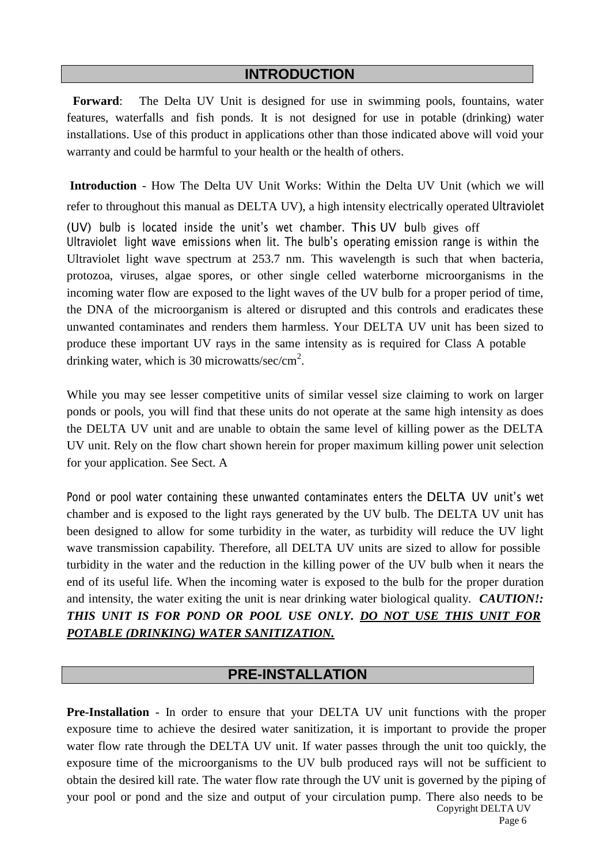### **INTRODUCTION**

**Forward**: The Delta UV Unit is designed for use in swimming pools, fountains, water features, waterfalls and fish ponds. It is not designed for use in potable (drinking) water installations. Use of this product in applications other than those indicated above will void your warranty and could be harmful to your health or the health of others.

**Introduction** - How The Delta UV Unit Works: Within the Delta UV Unit (which we will refer to throughout this manual as DELTA UV), a high intensity electrically operated Ultraviolet (UV) bulb is located inside the unit's wet chamber. This UV bulb gives off Ultraviolet light wave emissions when lit. The bulb's operating emission range is within the Ultraviolet light wave spectrum at 253.7 nm. This wavelength is such that when bacteria, protozoa, viruses, algae spores, or other single celled waterborne microorganisms in the incoming water flow are exposed to the light waves of the UV bulb for a proper period of time, the DNA of the microorganism is altered or disrupted and this controls and eradicates these unwanted contaminates and renders them harmless. Your DELTA UV unit has been sized to produce these important UV rays in the same intensity as is required for Class A potable drinking water, which is 30 microwatts/sec/cm<sup>2</sup>.

While you may see lesser competitive units of similar vessel size claiming to work on larger ponds or pools, you will find that these units do not operate at the same high intensity as does the DELTA UV unit and are unable to obtain the same level of killing power as the DELTA UV unit. Rely on the flow chart shown herein for proper maximum killing power unit selection for your application. See Sect. A

Pond or pool water containing these unwanted contaminates enters the DELTA UV unit's wet chamber and is exposed to the light rays generated by the UV bulb. The DELTA UV unit has been designed to allow for some turbidity in the water, as turbidity will reduce the UV light wave transmission capability. Therefore, all DELTA UV units are sized to allow for possible turbidity in the water and the reduction in the killing power of the UV bulb when it nears the end of its useful life. When the incoming water is exposed to the bulb for the proper duration and intensity, the water exiting the unit is near drinking water biological quality. *CAUTION!: THIS UNIT IS FOR POND OR POOL USE ONLY. DO NOT USE THIS UNIT FOR POTABLE (DRINKING) WATER SANITIZATION.*

#### **PRE-INSTALLATION**

Copyright DELTA UV **Pre-Installation** - In order to ensure that your DELTA UV unit functions with the proper exposure time to achieve the desired water sanitization, it is important to provide the proper water flow rate through the DELTA UV unit. If water passes through the unit too quickly, the exposure time of the microorganisms to the UV bulb produced rays will not be sufficient to obtain the desired kill rate. The water flow rate through the UV unit is governed by the piping of your pool or pond and the size and output of your circulation pump. There also needs to be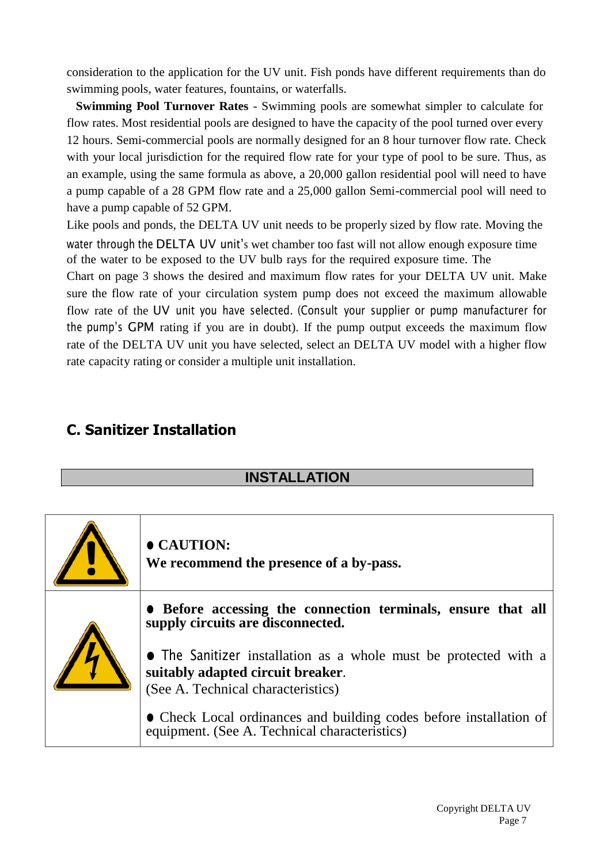consideration to the application for the UV unit. Fish ponds have different requirements than do swimming pools, water features, fountains, or waterfalls.

**Swimming Pool Turnover Rates** - Swimming pools are somewhat simpler to calculate for flow rates. Most residential pools are designed to have the capacity of the pool turned over every 12 hours. Semi-commercial pools are normally designed for an 8 hour turnover flow rate. Check with your local jurisdiction for the required flow rate for your type of pool to be sure. Thus, as an example, using the same formula as above, a 20,000 gallon residential pool will need to have a pump capable of a 28 GPM flow rate and a 25,000 gallon Semi-commercial pool will need to have a pump capable of 52 GPM.

Like pools and ponds, the DELTA UV unit needs to be properly sized by flow rate. Moving the water through the DELTA UV unit's wet chamber too fast will not allow enough exposure time of the water to be exposed to the UV bulb rays for the required exposure time. The

Chart on page 3 shows the desired and maximum flow rates for your DELTA UV unit. Make sure the flow rate of your circulation system pump does not exceed the maximum allowable flow rate of the UV unit you have selected. (Consult your supplier or pump manufacturer for the pump's GPM rating if you are in doubt). If the pump output exceeds the maximum flow rate of the DELTA UV unit you have selected, select an DELTA UV model with a higher flow rate capacity rating or consider a multiple unit installation.

## **C. Sanitizer Installation**

#### **INSTALLATION**

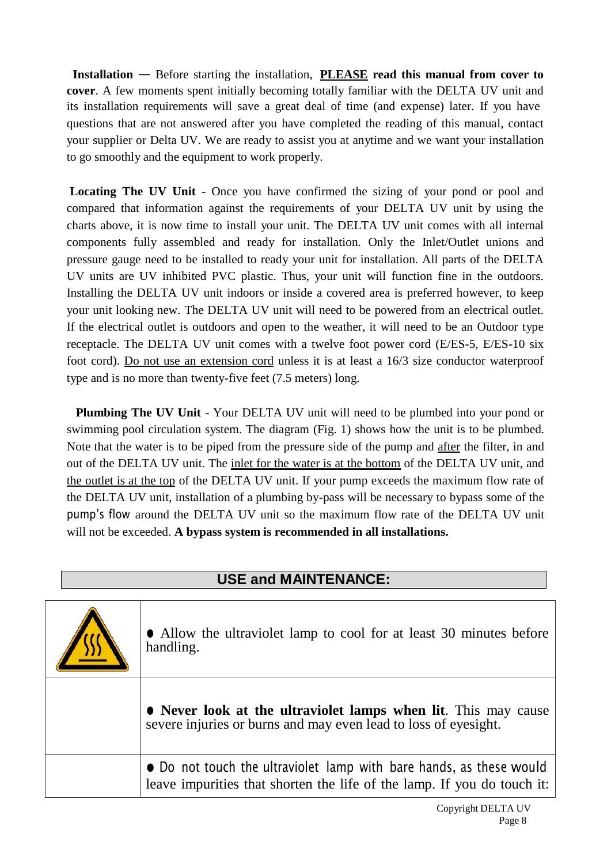**Installation** — Before starting the installation, **PLEASE read this manual from cover to cover**. A few moments spent initially becoming totally familiar with the DELTA UV unit and its installation requirements will save a great deal of time (and expense) later. If you have questions that are not answered after you have completed the reading of this manual, contact your supplier or Delta UV. We are ready to assist you at anytime and we want your installation to go smoothly and the equipment to work properly.

**Locating The UV Unit** - Once you have confirmed the sizing of your pond or pool and compared that information against the requirements of your DELTA UV unit by using the charts above, it is now time to install your unit. The DELTA UV unit comes with all internal components fully assembled and ready for installation. Only the Inlet/Outlet unions and pressure gauge need to be installed to ready your unit for installation. All parts of the DELTA UV units are UV inhibited PVC plastic. Thus, your unit will function fine in the outdoors. Installing the DELTA UV unit indoors or inside a covered area is preferred however, to keep your unit looking new. The DELTA UV unit will need to be powered from an electrical outlet. If the electrical outlet is outdoors and open to the weather, it will need to be an Outdoor type receptacle. The DELTA UV unit comes with a twelve foot power cord (E/ES-5, E/ES-10 six foot cord). Do not use an extension cord unless it is at least a 16/3 size conductor waterproof type and is no more than twenty-five feet (7.5 meters) long.

**Plumbing The UV Unit** - Your DELTA UV unit will need to be plumbed into your pond or swimming pool circulation system. The diagram (Fig. 1) shows how the unit is to be plumbed. Note that the water is to be piped from the pressure side of the pump and after the filter, in and out of the DELTA UV unit. The inlet for the water is at the bottom of the DELTA UV unit, and the outlet is at the top of the DELTA UV unit. If your pump exceeds the maximum flow rate of the DELTA UV unit, installation of a plumbing by-pass will be necessary to bypass some of the pump's flow around the DELTA UV unit so the maximum flow rate of the DELTA UV unit will not be exceeded. **A bypass system is recommended in all installations.**

#### **USE and MAINTENANCE:**

| • Allow the ultraviolet lamp to cool for at least 30 minutes before<br>handling.                                                               |  |
|------------------------------------------------------------------------------------------------------------------------------------------------|--|
| • Never look at the ultraviolet lamps when lit. This may cause<br>severe injuries or burns and may even lead to loss of eyesight.              |  |
| • Do not touch the ultraviolet lamp with bare hands, as these would<br>leave impurities that shorten the life of the lamp. If you do touch it: |  |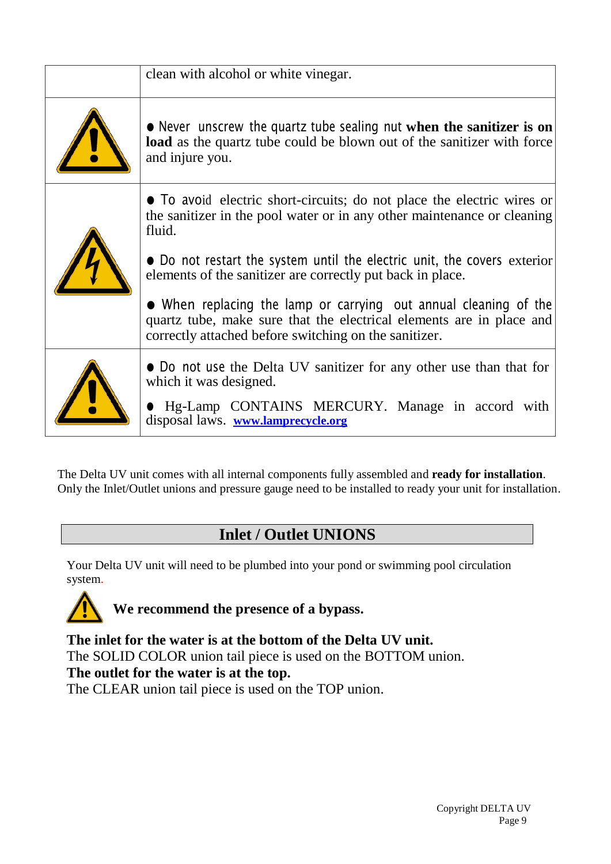| clean with alcohol or white vinegar.                                                                                                                                                                                                                                                                                                                                                                                                                      |
|-----------------------------------------------------------------------------------------------------------------------------------------------------------------------------------------------------------------------------------------------------------------------------------------------------------------------------------------------------------------------------------------------------------------------------------------------------------|
| • Never unscrew the quartz tube sealing nut when the sanitizer is on<br>load as the quartz tube could be blown out of the sanitizer with force<br>and injure you.                                                                                                                                                                                                                                                                                         |
| • To avoid electric short-circuits; do not place the electric wires or<br>the sanitizer in the pool water or in any other maintenance or cleaning<br>fluid.<br>• Do not restart the system until the electric unit, the covers exterior<br>elements of the sanitizer are correctly put back in place.<br>$\bullet$ When replacing the lamp or carrying out annual cleaning of the<br>quartz tube, make sure that the electrical elements are in place and |
| correctly attached before switching on the sanitizer.<br>• Do not use the Delta UV sanitizer for any other use than that for<br>which it was designed.<br><b>If Hg-Lamp CONTAINS MERCURY.</b> Manage in accord with<br>disposal laws. www.lamprecycle.org                                                                                                                                                                                                 |

The Delta UV unit comes with all internal components fully assembled and **ready for installation**. Only the Inlet/Outlet unions and pressure gauge need to be installed to ready your unit for installation.

# **Inlet / Outlet UNIONS**

Your Delta UV unit will need to be plumbed into your pond or swimming pool circulation system.



**The inlet for the water is at the bottom of the Delta UV unit.** The SOLID COLOR union tail piece is used on the BOTTOM union. **The outlet for the water is at the top.** The CLEAR union tail piece is used on the TOP union.

> Copyright DELTA UV Page 9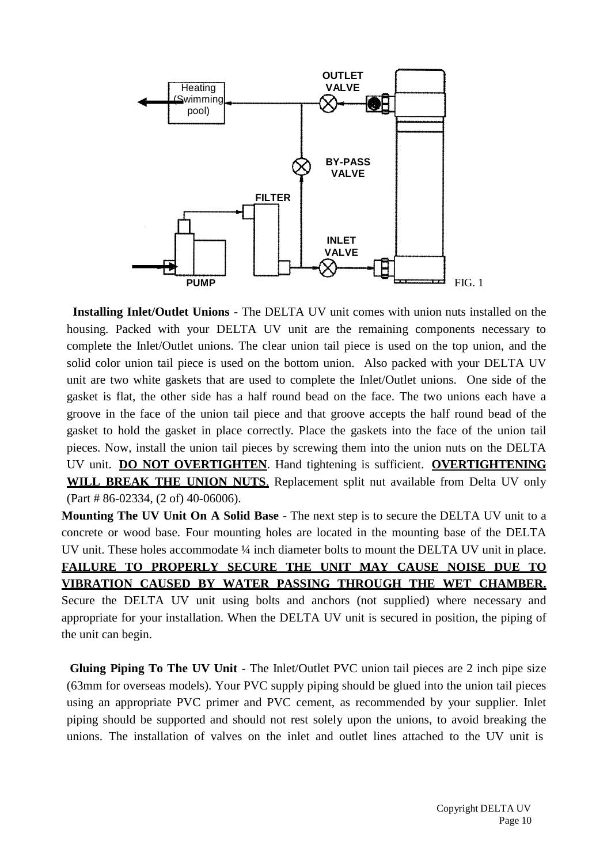

**Installing Inlet/Outlet Unions** - The DELTA UV unit comes with union nuts installed on the housing. Packed with your DELTA UV unit are the remaining components necessary to complete the Inlet/Outlet unions. The clear union tail piece is used on the top union, and the solid color union tail piece is used on the bottom union. Also packed with your DELTA UV unit are two white gaskets that are used to complete the Inlet/Outlet unions. One side of the gasket is flat, the other side has a half round bead on the face. The two unions each have a groove in the face of the union tail piece and that groove accepts the half round bead of the gasket to hold the gasket in place correctly. Place the gaskets into the face of the union tail pieces. Now, install the union tail pieces by screwing them into the union nuts on the DELTA UV unit. **DO NOT OVERTIGHTEN**. Hand tightening is sufficient. **OVERTIGHTENING WILL BREAK THE UNION NUTS**. Replacement split nut available from Delta UV only (Part # 86-02334, (2 of) 40-06006).

**Mounting The UV Unit On A Solid Base** - The next step is to secure the DELTA UV unit to a concrete or wood base. Four mounting holes are located in the mounting base of the DELTA UV unit. These holes accommodate ¼ inch diameter bolts to mount the DELTA UV unit in place. **FAILURE TO PROPERLY SECURE THE UNIT MAY CAUSE NOISE DUE TO VIBRATION CAUSED BY WATER PASSING THROUGH THE WET CHAMBER.** Secure the DELTA UV unit using bolts and anchors (not supplied) where necessary and appropriate for your installation. When the DELTA UV unit is secured in position, the piping of the unit can begin.

**Gluing Piping To The UV Unit** - The Inlet/Outlet PVC union tail pieces are 2 inch pipe size (63mm for overseas models). Your PVC supply piping should be glued into the union tail pieces using an appropriate PVC primer and PVC cement, as recommended by your supplier. Inlet piping should be supported and should not rest solely upon the unions, to avoid breaking the unions. The installation of valves on the inlet and outlet lines attached to the UV unit is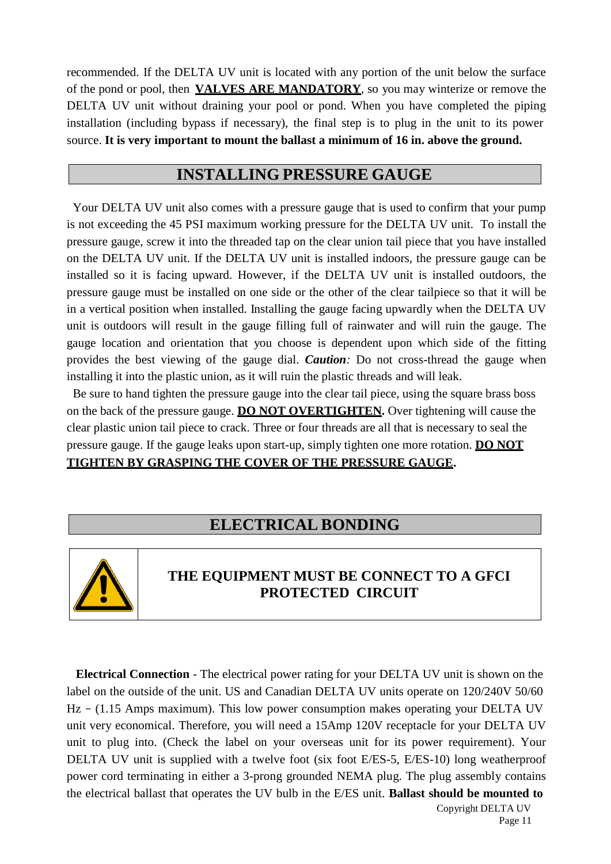recommended. If the DELTA UV unit is located with any portion of the unit below the surface of the pond or pool, then **VALVES ARE MANDATORY**, so you may winterize or remove the DELTA UV unit without draining your pool or pond. When you have completed the piping installation (including bypass if necessary), the final step is to plug in the unit to its power source. **It is very important to mount the ballast a minimum of 16 in. above the ground.**

### **INSTALLING PRESSURE GAUGE**

Your DELTA UV unit also comes with a pressure gauge that is used to confirm that your pump is not exceeding the 45 PSI maximum working pressure for the DELTA UV unit. To install the pressure gauge, screw it into the threaded tap on the clear union tail piece that you have installed on the DELTA UV unit. If the DELTA UV unit is installed indoors, the pressure gauge can be installed so it is facing upward. However, if the DELTA UV unit is installed outdoors, the pressure gauge must be installed on one side or the other of the clear tailpiece so that it will be in a vertical position when installed. Installing the gauge facing upwardly when the DELTA UV unit is outdoors will result in the gauge filling full of rainwater and will ruin the gauge. The gauge location and orientation that you choose is dependent upon which side of the fitting provides the best viewing of the gauge dial. *Caution:* Do not cross-thread the gauge when installing it into the plastic union, as it will ruin the plastic threads and will leak.

Be sure to hand tighten the pressure gauge into the clear tail piece, using the square brass boss on the back of the pressure gauge. **DO NOT OVERTIGHTEN.** Over tightening will cause the clear plastic union tail piece to crack. Three or four threads are all that is necessary to seal the pressure gauge. If the gauge leaks upon start-up, simply tighten one more rotation. **DO NOT**

### **TIGHTEN BY GRASPING THE COVER OF THE PRESSURE GAUGE.**

## **ELECTRICAL BONDING**



### **THE EQUIPMENT MUST BE CONNECT TO A GFCI PROTECTED CIRCUIT**

**Electrical Connection** - The electrical power rating for your DELTA UV unit is shown on the label on the outside of the unit. US and Canadian DELTA UV units operate on 120/240V 50/60 Hz – (1.15 Amps maximum). This low power consumption makes operating your DELTA UV unit very economical. Therefore, you will need a 15Amp 120V receptacle for your DELTA UV unit to plug into. (Check the label on your overseas unit for its power requirement). Your DELTA UV unit is supplied with a twelve foot (six foot E/ES-5, E/ES-10) long weatherproof power cord terminating in either a 3-prong grounded NEMA plug. The plug assembly contains the electrical ballast that operates the UV bulb in the E/ES unit. **Ballast should be mounted to**

> Copyright DELTA UV Page 11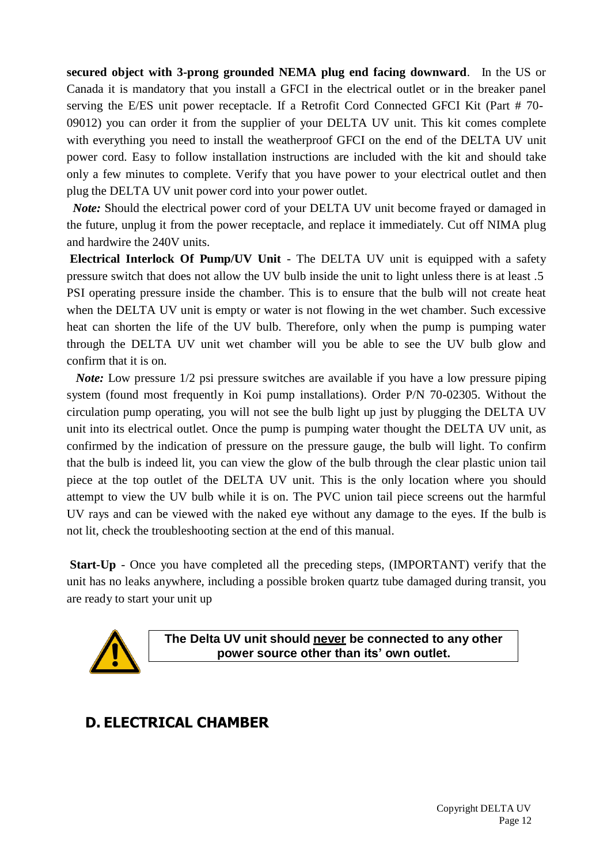**secured object with 3-prong grounded NEMA plug end facing downward**. In the US or Canada it is mandatory that you install a GFCI in the electrical outlet or in the breaker panel serving the E/ES unit power receptacle. If a Retrofit Cord Connected GFCI Kit (Part # 70- 09012) you can order it from the supplier of your DELTA UV unit. This kit comes complete with everything you need to install the weatherproof GFCI on the end of the DELTA UV unit power cord. Easy to follow installation instructions are included with the kit and should take only a few minutes to complete. Verify that you have power to your electrical outlet and then plug the DELTA UV unit power cord into your power outlet.

*Note:* Should the electrical power cord of your DELTA UV unit become frayed or damaged in the future, unplug it from the power receptacle, and replace it immediately. Cut off NIMA plug and hardwire the 240V units.

**Electrical Interlock Of Pump/UV Unit** - The DELTA UV unit is equipped with a safety pressure switch that does not allow the UV bulb inside the unit to light unless there is at least .5 PSI operating pressure inside the chamber. This is to ensure that the bulb will not create heat when the DELTA UV unit is empty or water is not flowing in the wet chamber. Such excessive heat can shorten the life of the UV bulb. Therefore, only when the pump is pumping water through the DELTA UV unit wet chamber will you be able to see the UV bulb glow and confirm that it is on.

*Note:* Low pressure  $1/2$  psi pressure switches are available if you have a low pressure piping system (found most frequently in Koi pump installations). Order P/N 70-02305. Without the circulation pump operating, you will not see the bulb light up just by plugging the DELTA UV unit into its electrical outlet. Once the pump is pumping water thought the DELTA UV unit, as confirmed by the indication of pressure on the pressure gauge, the bulb will light. To confirm that the bulb is indeed lit, you can view the glow of the bulb through the clear plastic union tail piece at the top outlet of the DELTA UV unit. This is the only location where you should attempt to view the UV bulb while it is on. The PVC union tail piece screens out the harmful UV rays and can be viewed with the naked eye without any damage to the eyes. If the bulb is not lit, check the troubleshooting section at the end of this manual.

**Start-Up** - Once you have completed all the preceding steps, (IMPORTANT) verify that the unit has no leaks anywhere, including a possible broken quartz tube damaged during transit, you are ready to start your unit up



**The Delta UV unit should never be connected to any other power source other than its' own outlet.**

### **D. ELECTRICAL CHAMBER**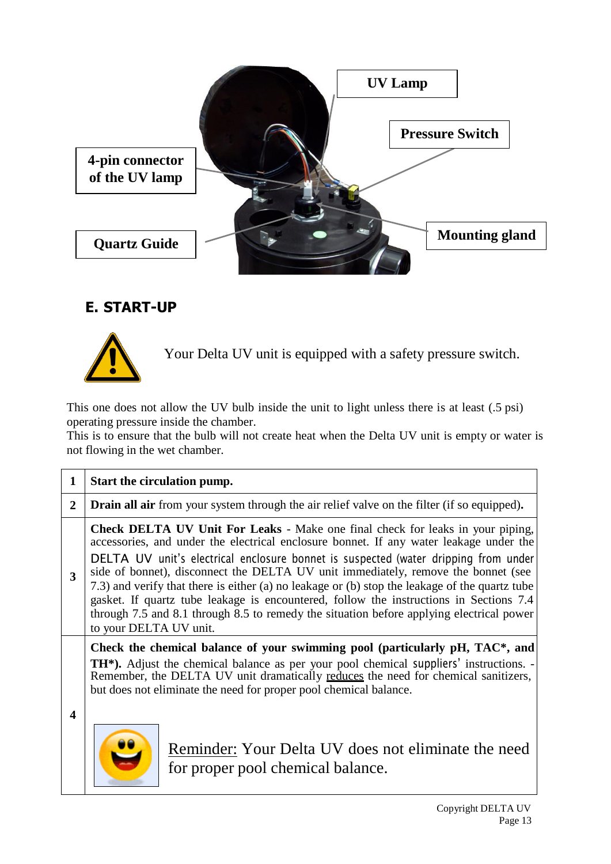

## **E. START-UP**



Your Delta UV unit is equipped with a safety pressure switch.

This one does not allow the UV bulb inside the unit to light unless there is at least (.5 psi) operating pressure inside the chamber.

This is to ensure that the bulb will not create heat when the Delta UV unit is empty or water is not flowing in the wet chamber.

|              | Start the circulation pump.                                                                                                                                                                                                                                                                                                                                                                                                                                                                                                                                                                                                                                                   |  |  |  |  |
|--------------|-------------------------------------------------------------------------------------------------------------------------------------------------------------------------------------------------------------------------------------------------------------------------------------------------------------------------------------------------------------------------------------------------------------------------------------------------------------------------------------------------------------------------------------------------------------------------------------------------------------------------------------------------------------------------------|--|--|--|--|
| $\mathbf{2}$ | <b>Drain all air</b> from your system through the air relief valve on the filter (if so equipped).                                                                                                                                                                                                                                                                                                                                                                                                                                                                                                                                                                            |  |  |  |  |
| 3            | <b>Check DELTA UV Unit For Leaks</b> - Make one final check for leaks in your piping,<br>accessories, and under the electrical enclosure bonnet. If any water leakage under the<br>DELTA UV unit's electrical enclosure bonnet is suspected (water dripping from under<br>side of bonnet), disconnect the DELTA UV unit immediately, remove the bonnet (see<br>7.3) and verify that there is either (a) no leakage or (b) stop the leakage of the quartz tube<br>gasket. If quartz tube leakage is encountered, follow the instructions in Sections 7.4<br>through 7.5 and 8.1 through 8.5 to remedy the situation before applying electrical power<br>to your DELTA UV unit. |  |  |  |  |
| 4            | Check the chemical balance of your swimming pool (particularly pH, TAC*, and<br><b>TH<sup>*</sup>).</b> Adjust the chemical balance as per your pool chemical suppliers' instructions. -<br>Remember, the DELTA UV unit dramatically reduces the need for chemical sanitizers,<br>but does not eliminate the need for proper pool chemical balance.<br>Reminder: Your Delta UV does not eliminate the need                                                                                                                                                                                                                                                                    |  |  |  |  |

for proper pool chemical balance.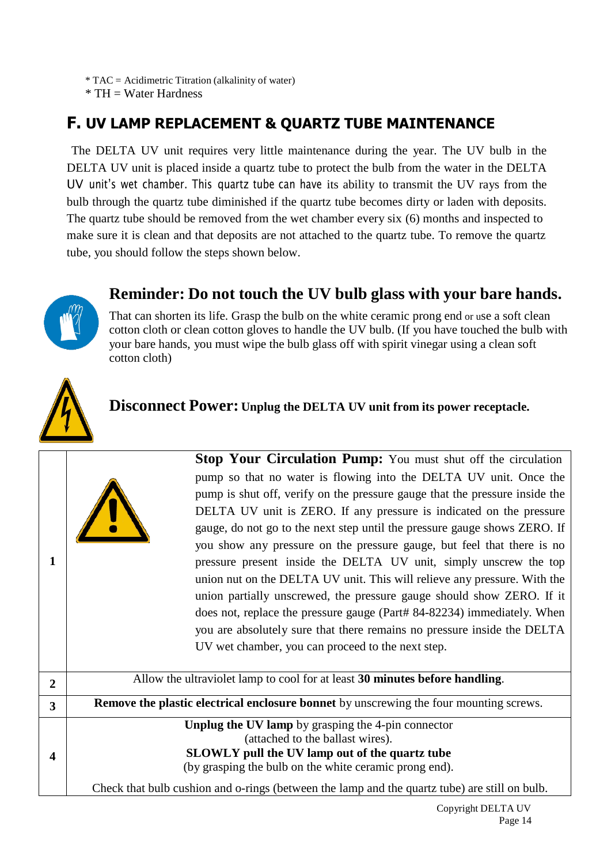\* TAC = Acidimetric Titration (alkalinity of water)

 $*$  TH = Water Hardness

# **F. UV LAMP REPLACEMENT & QUARTZ TUBE MAINTENANCE**

The DELTA UV unit requires very little maintenance during the year. The UV bulb in the DELTA UV unit is placed inside a quartz tube to protect the bulb from the water in the DELTA UV unit's wet chamber. This quartz tube can have its ability to transmit the UV rays from the bulb through the quartz tube diminished if the quartz tube becomes dirty or laden with deposits. The quartz tube should be removed from the wet chamber every six (6) months and inspected to make sure it is clean and that deposits are not attached to the quartz tube. To remove the quartz tube, you should follow the steps shown below.

## **Reminder: Do not touch the UV bulb glass with your bare hands.**



That can shorten its life. Grasp the bulb on the white ceramic prong end or use a soft clean cotton cloth or clean cotton gloves to handle the UV bulb. (If you have touched the bulb with your bare hands, you must wipe the bulb glass off with spirit vinegar using a clean soft cotton cloth)



**1**

#### **Disconnect Power: Unplug the DELTA UV unit from its power receptacle.**



**Stop Your Circulation Pump:** You must shut off the circulation pump so that no water is flowing into the DELTA UV unit. Once the pump is shut off, verify on the pressure gauge that the pressure inside the DELTA UV unit is ZERO. If any pressure is indicated on the pressure gauge, do not go to the next step until the pressure gauge shows ZERO. If you show any pressure on the pressure gauge, but feel that there is no pressure present inside the DELTA UV unit, simply unscrew the top union nut on the DELTA UV unit. This will relieve any pressure. With the union partially unscrewed, the pressure gauge should show ZERO. If it does not, replace the pressure gauge (Part# 84-82234) immediately. When you are absolutely sure that there remains no pressure inside the DELTA UV wet chamber, you can proceed to the next step.

**2** Allow the ultraviolet lamp to cool for at least **30 minutes before handling**. **3 Remove the plastic electrical enclosure bonnet** by unscrewing the four mounting screws. **4 Unplug the UV lamp** by grasping the 4-pin connector (attached to the ballast wires). **SLOWLY pull the UV lamp out of the quartz tube** (by grasping the bulb on the white ceramic prong end).

Check that bulb cushion and o-rings (between the lamp and the quartz tube) are still on bulb.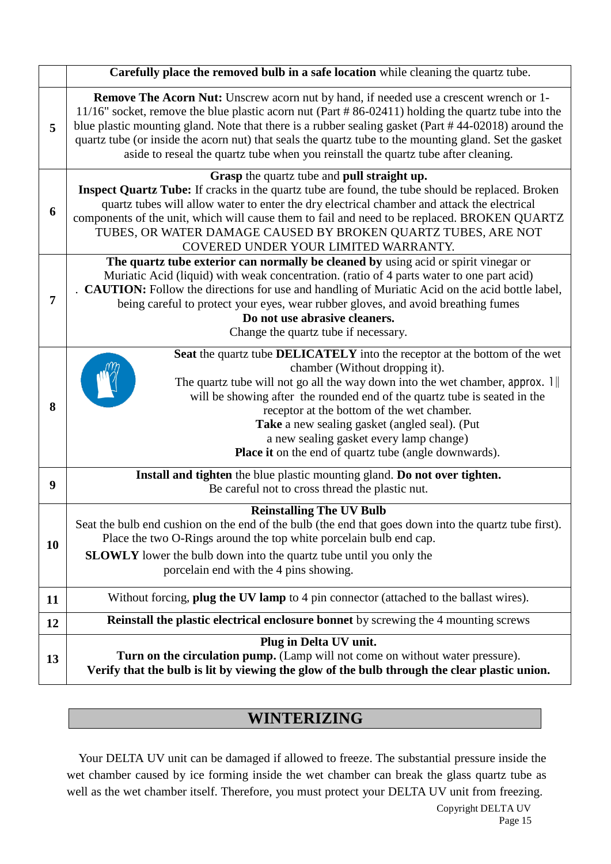|           | Carefully place the removed bulb in a safe location while cleaning the quartz tube.                                                                                                                                                                                                                                                                                                                                                                                                                        |
|-----------|------------------------------------------------------------------------------------------------------------------------------------------------------------------------------------------------------------------------------------------------------------------------------------------------------------------------------------------------------------------------------------------------------------------------------------------------------------------------------------------------------------|
| 5         | <b>Remove The Acorn Nut:</b> Unscrew acorn nut by hand, if needed use a crescent wrench or 1-<br>11/16" socket, remove the blue plastic acorn nut (Part #86-02411) holding the quartz tube into the<br>blue plastic mounting gland. Note that there is a rubber sealing gasket (Part #44-02018) around the<br>quartz tube (or inside the acorn nut) that seals the quartz tube to the mounting gland. Set the gasket<br>aside to reseal the quartz tube when you reinstall the quartz tube after cleaning. |
| 6         | Grasp the quartz tube and pull straight up.<br><b>Inspect Quartz Tube:</b> If cracks in the quartz tube are found, the tube should be replaced. Broken<br>quartz tubes will allow water to enter the dry electrical chamber and attack the electrical<br>components of the unit, which will cause them to fail and need to be replaced. BROKEN QUARTZ<br>TUBES, OR WATER DAMAGE CAUSED BY BROKEN QUARTZ TUBES, ARE NOT<br>COVERED UNDER YOUR LIMITED WARRANTY.                                             |
| 7         | The quartz tube exterior can normally be cleaned by using acid or spirit vinegar or<br>Muriatic Acid (liquid) with weak concentration. (ratio of 4 parts water to one part acid)<br><b>CAUTION:</b> Follow the directions for use and handling of Muriatic Acid on the acid bottle label,<br>being careful to protect your eyes, wear rubber gloves, and avoid breathing fumes<br>Do not use abrasive cleaners.<br>Change the quartz tube if necessary.                                                    |
| 8         | Seat the quartz tube DELICATELY into the receptor at the bottom of the wet<br>chamber (Without dropping it).<br>The quartz tube will not go all the way down into the wet chamber, approx. $1$<br>will be showing after the rounded end of the quartz tube is seated in the<br>receptor at the bottom of the wet chamber.<br>Take a new sealing gasket (angled seal). (Put<br>a new sealing gasket every lamp change)<br><b>Place it</b> on the end of quartz tube (angle downwards).                      |
| 9         | Install and tighten the blue plastic mounting gland. Do not over tighten.<br>Be careful not to cross thread the plastic nut.                                                                                                                                                                                                                                                                                                                                                                               |
| <b>10</b> | <b>Reinstalling The UV Bulb</b><br>Seat the bulb end cushion on the end of the bulb (the end that goes down into the quartz tube first).<br>Place the two O-Rings around the top white porcelain bulb end cap.<br><b>SLOWLY</b> lower the bulb down into the quartz tube until you only the<br>porcelain end with the 4 pins showing.                                                                                                                                                                      |
| 11        | Without forcing, plug the UV lamp to 4 pin connector (attached to the ballast wires).                                                                                                                                                                                                                                                                                                                                                                                                                      |
| 12        | <b>Reinstall the plastic electrical enclosure bonnet</b> by screwing the 4 mounting screws                                                                                                                                                                                                                                                                                                                                                                                                                 |
| 13        | Plug in Delta UV unit.<br>Turn on the circulation pump. (Lamp will not come on without water pressure).<br>Verify that the bulb is lit by viewing the glow of the bulb through the clear plastic union.                                                                                                                                                                                                                                                                                                    |

# **WINTERIZING**

Your DELTA UV unit can be damaged if allowed to freeze. The substantial pressure inside the wet chamber caused by ice forming inside the wet chamber can break the glass quartz tube as well as the wet chamber itself. Therefore, you must protect your DELTA UV unit from freezing.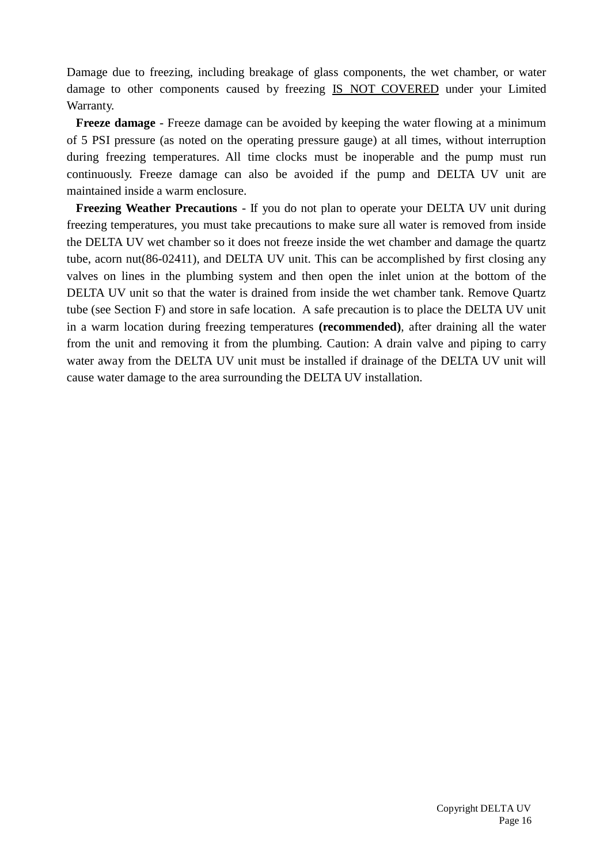Damage due to freezing, including breakage of glass components, the wet chamber, or water damage to other components caused by freezing IS NOT COVERED under your Limited Warranty.

**Freeze damage** - Freeze damage can be avoided by keeping the water flowing at a minimum of 5 PSI pressure (as noted on the operating pressure gauge) at all times, without interruption during freezing temperatures. All time clocks must be inoperable and the pump must run continuously. Freeze damage can also be avoided if the pump and DELTA UV unit are maintained inside a warm enclosure.

**Freezing Weather Precautions** - If you do not plan to operate your DELTA UV unit during freezing temperatures, you must take precautions to make sure all water is removed from inside the DELTA UV wet chamber so it does not freeze inside the wet chamber and damage the quartz tube, acorn nut(86-02411), and DELTA UV unit. This can be accomplished by first closing any valves on lines in the plumbing system and then open the inlet union at the bottom of the DELTA UV unit so that the water is drained from inside the wet chamber tank. Remove Quartz tube (see Section F) and store in safe location. A safe precaution is to place the DELTA UV unit in a warm location during freezing temperatures **(recommended)**, after draining all the water from the unit and removing it from the plumbing. Caution: A drain valve and piping to carry water away from the DELTA UV unit must be installed if drainage of the DELTA UV unit will cause water damage to the area surrounding the DELTA UV installation.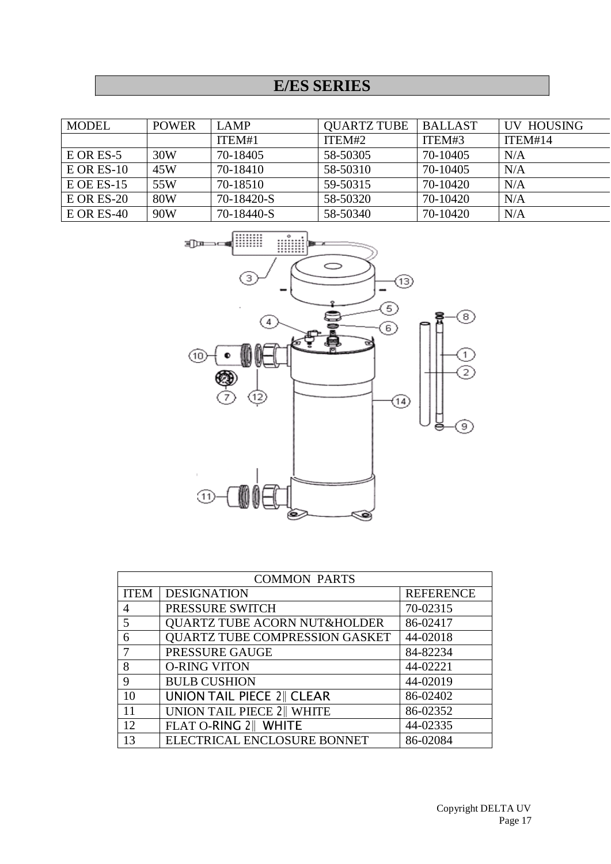# **E/ES SERIES**

| <b>MODEL</b> | <b>POWER</b> | <b>LAMP</b> | <b>OUARTZ TUBE</b> | <b>BALLAST</b> | UV HOUSING |
|--------------|--------------|-------------|--------------------|----------------|------------|
|              |              | ITEM#1      | ITEM#2             | ITEM#3         | ITEM#14    |
| $E$ OR ES-5  | 30W          | 70-18405    | 58-50305           | 70-10405       | N/A        |
| $E$ OR ES-10 | 45W          | 70-18410    | 58-50310           | 70-10405       | N/A        |
| $E$ OE ES-15 | 55W          | 70-18510    | 59-50315           | 70-10420       | N/A        |
| $E$ OR ES-20 | <b>80W</b>   | 70-18420-S  | 58-50320           | 70-10420       | N/A        |
| $E$ OR ES-40 | 90W          | 70-18440-S  | 58-50340           | 70-10420       | N/A        |



| <b>COMMON PARTS</b> |                                         |                  |  |  |
|---------------------|-----------------------------------------|------------------|--|--|
| <b>ITEM</b>         | <b>DESIGNATION</b>                      | <b>REFERENCE</b> |  |  |
| 4                   | PRESSURE SWITCH                         | 70-02315         |  |  |
| 5                   | <b>QUARTZ TUBE ACORN NUT&amp;HOLDER</b> | 86-02417         |  |  |
| 6                   | <b>QUARTZ TUBE COMPRESSION GASKET</b>   | 44-02018         |  |  |
|                     | PRESSURE GAUGE                          | 84-82234         |  |  |
| 8                   | <b>O-RING VITON</b>                     | 44-02221         |  |  |
| 9                   | <b>BULB CUSHION</b>                     | 44-02019         |  |  |
| 10                  | <b>UNION TAIL PIECE 2    CLEAR</b>      | 86-02402         |  |  |
| 11                  | UNION TAIL PIECE 2 WHITE                | 86-02352         |  |  |
| 12                  | FLAT O-RING 2    WHITE                  | 44-02335         |  |  |
| 13                  | ELECTRICAL ENCLOSURE BONNET             | 86-02084         |  |  |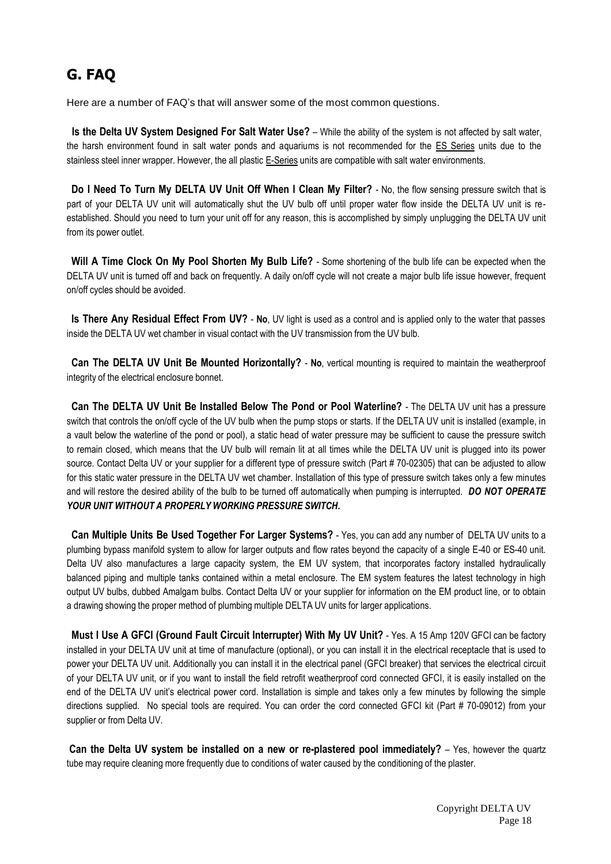# **G. FAQ**

Here are a number of FAQ's that will answer some of the most common questions.

**Is the Delta UV System Designed For Salt Water Use?** – While the ability of the system is not affected by salt water, the harsh environment found in salt water ponds and aquariums is not recommended for the ES Series units due to the stainless steel inner wrapper. However, the all plastic E-Series units are compatible with salt water environments.

**Do I Need To Turn My DELTA UV Unit Off When I Clean My Filter?** - No, the flow sensing pressure switch that is part of your DELTA UV unit will automatically shut the UV bulb off until proper water flow inside the DELTA UV unit is reestablished. Should you need to turn your unit off for any reason, this is accomplished by simply unplugging the DELTA UV unit from its power outlet.

**Will A Time Clock On My Pool Shorten My Bulb Life?** - Some shortening of the bulb life can be expected when the DELTA UV unit is turned off and back on frequently. A daily on/off cycle will not create a major bulb life issue however, frequent on/off cycles should be avoided.

**Is There Any Residual Effect From UV?** - **No**, UV light is used as a control and is applied only to the water that passes inside the DELTA UV wet chamber in visual contact with the UV transmission from the UV bulb.

**Can The DELTA UV Unit Be Mounted Horizontally?** - **No**, vertical mounting is required to maintain the weatherproof integrity of the electrical enclosure bonnet.

**Can The DELTA UV Unit Be Installed Below The Pond or Pool Waterline?** - The DELTA UV unit has a pressure switch that controls the on/off cycle of the UV bulb when the pump stops or starts. If the DELTA UV unit is installed (example, in a vault below the waterline of the pond or pool), a static head of water pressure may be sufficient to cause the pressure switch to remain closed, which means that the UV bulb will remain lit at all times while the DELTA UV unit is plugged into its power source. Contact Delta UV or your supplier for a different type of pressure switch (Part # 70-02305) that can be adjusted to allow for this static water pressure in the DELTA UV wet chamber. Installation of this type of pressure switch takes only a few minutes and will restore the desired ability of the bulb to be turned off automatically when pumping is interrupted. *DO NOT OPERATE YOUR UNIT WITHOUT A PROPERLY WORKING PRESSURE SWITCH.*

**Can Multiple Units Be Used Together For Larger Systems?** - Yes, you can add any number of DELTA UV units to a plumbing bypass manifold system to allow for larger outputs and flow rates beyond the capacity of a single E-40 or ES-40 unit. Delta UV also manufactures a large capacity system, the EM UV system, that incorporates factory installed hydraulically balanced piping and multiple tanks contained within a metal enclosure. The EM system features the latest technology in high output UV bulbs, dubbed Amalgam bulbs. Contact Delta UV or your supplier for information on the EM product line, or to obtain a drawing showing the proper method of plumbing multiple DELTA UV units for larger applications.

**Must I Use A GFCI (Ground Fault Circuit Interrupter) With My UV Unit?** - Yes. A 15 Amp 120V GFCI can be factory installed in your DELTA UV unit at time of manufacture (optional), or you can install it in the electrical receptacle that is used to power your DELTA UV unit. Additionally you can install it in the electrical panel (GFCI breaker) that services the electrical circuit of your DELTA UV unit, or if you want to install the field retrofit weatherproof cord connected GFCI, it is easily installed on the end of the DELTA UV unit's electrical power cord. Installation is simple and takes only a few minutes by following the simple directions supplied. No special tools are required. You can order the cord connected GFCI kit (Part # 70-09012) from your supplier or from Delta UV.

**Can the Delta UV system be installed on a new or re-plastered pool immediately?** – Yes, however the quartz tube may require cleaning more frequently due to conditions of water caused by the conditioning of the plaster.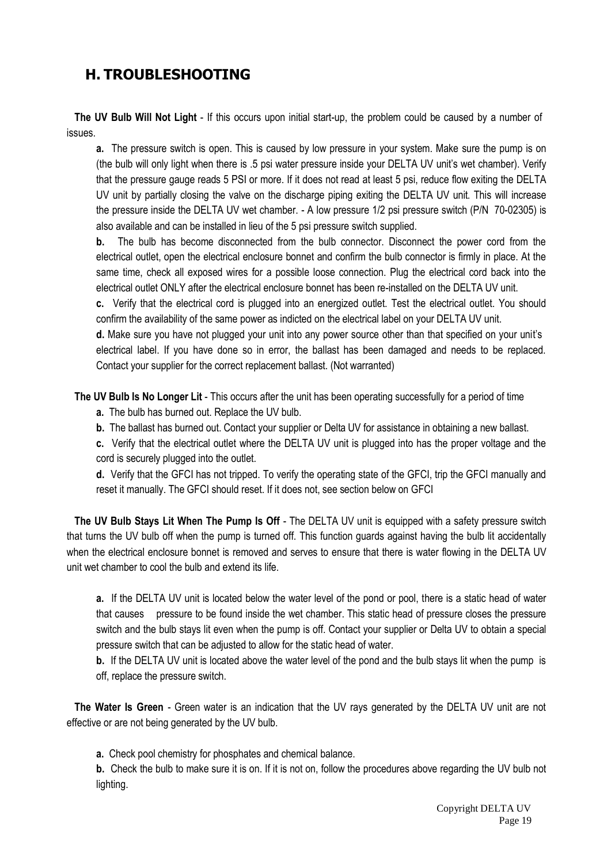## **H. TROUBLESHOOTING**

**The UV Bulb Will Not Light** - If this occurs upon initial start-up, the problem could be caused by a number of issues.

**a.** The pressure switch is open. This is caused by low pressure in your system. Make sure the pump is on (the bulb will only light when there is .5 psi water pressure inside your DELTA UV unit's wet chamber). Verify that the pressure gauge reads 5 PSI or more. If it does not read at least 5 psi, reduce flow exiting the DELTA UV unit by partially closing the valve on the discharge piping exiting the DELTA UV unit. This will increase the pressure inside the DELTA UV wet chamber. - A low pressure 1/2 psi pressure switch (P/N 70-02305) is also available and can be installed in lieu of the 5 psi pressure switch supplied.

**b.** The bulb has become disconnected from the bulb connector. Disconnect the power cord from the electrical outlet, open the electrical enclosure bonnet and confirm the bulb connector is firmly in place. At the same time, check all exposed wires for a possible loose connection. Plug the electrical cord back into the electrical outlet ONLY after the electrical enclosure bonnet has been re-installed on the DELTA UV unit.

**c.** Verify that the electrical cord is plugged into an energized outlet. Test the electrical outlet. You should confirm the availability of the same power as indicted on the electrical label on your DELTA UV unit.

**d.** Make sure you have not plugged your unit into any power source other than that specified on your unit's electrical label. If you have done so in error, the ballast has been damaged and needs to be replaced. Contact your supplier for the correct replacement ballast. (Not warranted)

**The UV Bulb Is No Longer Lit** - This occurs after the unit has been operating successfully for a period of time

- **a.** The bulb has burned out. Replace the UV bulb.
- **b.** The ballast has burned out. Contact your supplier or Delta UV for assistance in obtaining a new ballast.

**c.** Verify that the electrical outlet where the DELTA UV unit is plugged into has the proper voltage and the cord is securely plugged into the outlet.

**d.** Verify that the GFCI has not tripped. To verify the operating state of the GFCI, trip the GFCI manually and reset it manually. The GFCI should reset. If it does not, see section below on GFCI

**The UV Bulb Stays Lit When The Pump Is Off** - The DELTA UV unit is equipped with a safety pressure switch that turns the UV bulb off when the pump is turned off. This function guards against having the bulb lit accidentally when the electrical enclosure bonnet is removed and serves to ensure that there is water flowing in the DELTA UV unit wet chamber to cool the bulb and extend its life.

**a.** If the DELTA UV unit is located below the water level of the pond or pool, there is a static head of water that causes pressure to be found inside the wet chamber. This static head of pressure closes the pressure switch and the bulb stays lit even when the pump is off. Contact your supplier or Delta UV to obtain a special pressure switch that can be adjusted to allow for the static head of water.

**b.** If the DELTA UV unit is located above the water level of the pond and the bulb stays lit when the pump is off, replace the pressure switch.

**The Water Is Green** - Green water is an indication that the UV rays generated by the DELTA UV unit are not effective or are not being generated by the UV bulb.

**a.** Check pool chemistry for phosphates and chemical balance.

**b.** Check the bulb to make sure it is on. If it is not on, follow the procedures above regarding the UV bulb not lighting.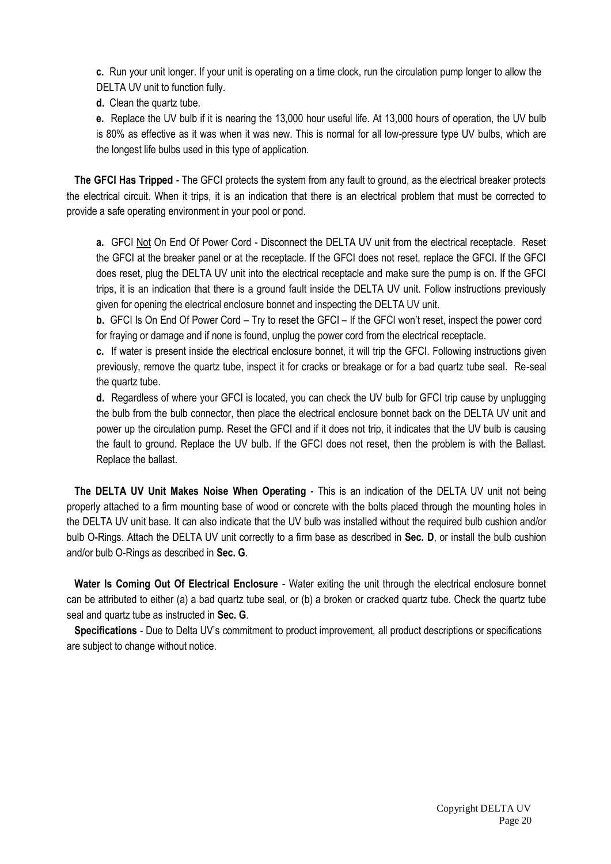**c.** Run your unit longer. If your unit is operating on a time clock, run the circulation pump longer to allow the DELTA UV unit to function fully.

**d.** Clean the quartz tube.

**e.** Replace the UV bulb if it is nearing the 13,000 hour useful life. At 13,000 hours of operation, the UV bulb is 80% as effective as it was when it was new. This is normal for all low-pressure type UV bulbs, which are the longest life bulbs used in this type of application.

**The GFCI Has Tripped** - The GFCI protects the system from any fault to ground, as the electrical breaker protects the electrical circuit. When it trips, it is an indication that there is an electrical problem that must be corrected to provide a safe operating environment in your pool or pond.

**a.** GFCI Not On End Of Power Cord - Disconnect the DELTA UV unit from the electrical receptacle. Reset the GFCI at the breaker panel or at the receptacle. If the GFCI does not reset, replace the GFCI. If the GFCI does reset, plug the DELTA UV unit into the electrical receptacle and make sure the pump is on. If the GFCI trips, it is an indication that there is a ground fault inside the DELTA UV unit. Follow instructions previously given for opening the electrical enclosure bonnet and inspecting the DELTA UV unit.

**b.** GFCI Is On End Of Power Cord – Try to reset the GFCI – If the GFCI won't reset, inspect the power cord for fraying or damage and if none is found, unplug the power cord from the electrical receptacle.

**c.** If water is present inside the electrical enclosure bonnet, it will trip the GFCI. Following instructions given previously, remove the quartz tube, inspect it for cracks or breakage or for a bad quartz tube seal. Re-seal the quartz tube.

**d.** Regardless of where your GFCI is located, you can check the UV bulb for GFCI trip cause by unplugging the bulb from the bulb connector, then place the electrical enclosure bonnet back on the DELTA UV unit and power up the circulation pump. Reset the GFCI and if it does not trip, it indicates that the UV bulb is causing the fault to ground. Replace the UV bulb. If the GFCI does not reset, then the problem is with the Ballast. Replace the ballast.

**The DELTA UV Unit Makes Noise When Operating** - This is an indication of the DELTA UV unit not being properly attached to a firm mounting base of wood or concrete with the bolts placed through the mounting holes in the DELTA UV unit base. It can also indicate that the UV bulb was installed without the required bulb cushion and/or bulb O-Rings. Attach the DELTA UV unit correctly to a firm base as described in **Sec. D**, or install the bulb cushion and/or bulb O-Rings as described in **Sec. G**.

**Water Is Coming Out Of Electrical Enclosure** - Water exiting the unit through the electrical enclosure bonnet can be attributed to either (a) a bad quartz tube seal, or (b) a broken or cracked quartz tube. Check the quartz tube seal and quartz tube as instructed in **Sec. G**.

**Specifications** - Due to Delta UV's commitment to product improvement, all product descriptions or specifications are subject to change without notice.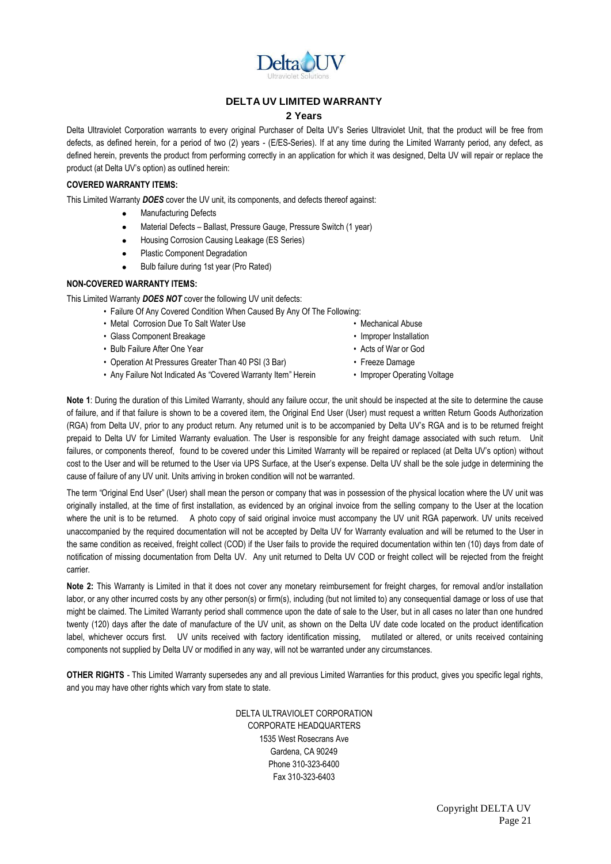

#### **DELTA UV LIMITED WARRANTY**

#### **2 Years**

Delta Ultraviolet Corporation warrants to every original Purchaser of Delta UV's Series Ultraviolet Unit, that the product will be free from defects, as defined herein, for a period of two (2) years - (E/ES-Series). If at any time during the Limited Warranty period, any defect, as defined herein, prevents the product from performing correctly in an application for which it was designed, Delta UV will repair or replace the product (at Delta UV's option) as outlined herein:

#### **COVERED WARRANTY ITEMS:**

This Limited Warranty *DOES* cover the UV unit, its components, and defects thereof against:

- Manufacturing Defects
- Material Defects Ballast, Pressure Gauge, Pressure Switch (1 year)
- Housing Corrosion Causing Leakage (ES Series)  $\bullet$
- Plastic Component Degradation
- Bulb failure during 1st year (Pro Rated)

#### **NON-COVERED WARRANTY ITEMS:**

This Limited Warranty *DOES NOT* cover the following UV unit defects:

- Failure Of Any Covered Condition When Caused By Any Of The Following:
- Metal Corrosion Due To Salt Water Use  **Mechanical Abuse**
- Glass Component Breakage Improper Installation
- Bulb Failure After One Year **Acts of War or God**
- Operation At Pressures Greater Than 40 PSI (3 Bar) Freeze Damage
- Any Failure Not Indicated As "Covered Warranty Item" Herein Improper Operating Voltage
- 
- 
- 
- 
- 

**Note 1**: During the duration of this Limited Warranty, should any failure occur, the unit should be inspected at the site to determine the cause of failure, and if that failure is shown to be a covered item, the Original End User (User) must request a written Return Goods Authorization (RGA) from Delta UV, prior to any product return. Any returned unit is to be accompanied by Delta UV's RGA and is to be returned freight prepaid to Delta UV for Limited Warranty evaluation. The User is responsible for any freight damage associated with such return. Unit failures, or components thereof, found to be covered under this Limited Warranty will be repaired or replaced (at Delta UV's option) without cost to the User and will be returned to the User via UPS Surface, at the User's expense. Delta UV shall be the sole judge in determining the cause of failure of any UV unit. Units arriving in broken condition will not be warranted.

The term "Original End User" (User) shall mean the person or company that was in possession of the physical location where the UV unit was originally installed, at the time of first installation, as evidenced by an original invoice from the selling company to the User at the location where the unit is to be returned. A photo copy of said original invoice must accompany the UV unit RGA paperwork. UV units received unaccompanied by the required documentation will not be accepted by Delta UV for Warranty evaluation and will be returned to the User in the same condition as received, freight collect (COD) if the User fails to provide the required documentation within ten (10) days from date of notification of missing documentation from Delta UV. Any unit returned to Delta UV COD or freight collect will be rejected from the freight carrier.

**Note 2:** This Warranty is Limited in that it does not cover any monetary reimbursement for freight charges, for removal and/or installation labor, or any other incurred costs by any other person(s) or firm(s), including (but not limited to) any consequential damage or loss of use that might be claimed. The Limited Warranty period shall commence upon the date of sale to the User, but in all cases no later than one hundred twenty (120) days after the date of manufacture of the UV unit, as shown on the Delta UV date code located on the product identification label, whichever occurs first. UV units received with factory identification missing, mutilated or altered, or units received containing components not supplied by Delta UV or modified in any way, will not be warranted under any circumstances.

**OTHER RIGHTS** - This Limited Warranty supersedes any and all previous Limited Warranties for this product, gives you specific legal rights, and you may have other rights which vary from state to state.

> DELTA ULTRAVIOLET CORPORATION CORPORATE HEADQUARTERS 1535 West Rosecrans Ave Gardena, CA 90249 Phone 310-323-6400 Fax 310-323-6403